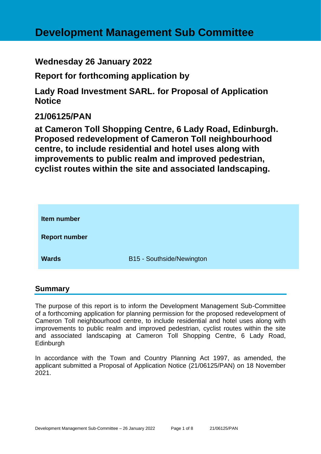# **Development Management Sub Committee**

**Wednesday 26 January 2022**

**Report for forthcoming application by**

**Lady Road Investment SARL. for Proposal of Application Notice** 

# **21/06125/PAN**

**at Cameron Toll Shopping Centre, 6 Lady Road, Edinburgh. Proposed redevelopment of Cameron Toll neighbourhood centre, to include residential and hotel uses along with improvements to public realm and improved pedestrian, cyclist routes within the site and associated landscaping.**

| <b>Item number</b>   |                           |
|----------------------|---------------------------|
| <b>Report number</b> |                           |
| <b>Wards</b>         | B15 - Southside/Newington |

# **Summary**

The purpose of this report is to inform the Development Management Sub-Committee of a forthcoming application for planning permission for the proposed redevelopment of Cameron Toll neighbourhood centre, to include residential and hotel uses along with improvements to public realm and improved pedestrian, cyclist routes within the site and associated landscaping at Cameron Toll Shopping Centre, 6 Lady Road, Edinburgh

In accordance with the Town and Country Planning Act 1997, as amended, the applicant submitted a Proposal of Application Notice (21/06125/PAN) on 18 November 2021.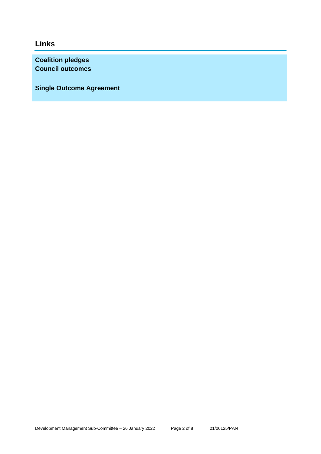**Links**

**Coalition pledges Council outcomes**

**Single Outcome Agreement**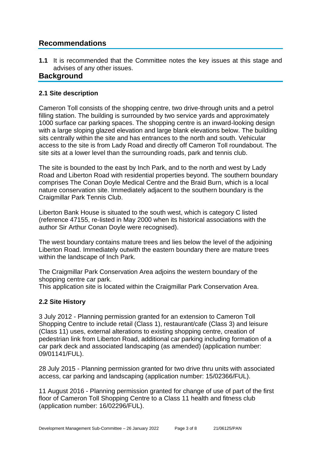# **Recommendations**

**1.1** It is recommended that the Committee notes the key issues at this stage and advises of any other issues.

# **Background**

#### **2.1 Site description**

Cameron Toll consists of the shopping centre, two drive-through units and a petrol filling station. The building is surrounded by two service yards and approximately 1000 surface car parking spaces. The shopping centre is an inward-looking design with a large sloping glazed elevation and large blank elevations below. The building sits centrally within the site and has entrances to the north and south. Vehicular access to the site is from Lady Road and directly off Cameron Toll roundabout. The site sits at a lower level than the surrounding roads, park and tennis club.

The site is bounded to the east by Inch Park, and to the north and west by Lady Road and Liberton Road with residential properties beyond. The southern boundary comprises The Conan Doyle Medical Centre and the Braid Burn, which is a local nature conservation site. Immediately adjacent to the southern boundary is the Craigmillar Park Tennis Club.

Liberton Bank House is situated to the south west, which is category C listed (reference 47155, re-listed in May 2000 when its historical associations with the author Sir Arthur Conan Doyle were recognised).

The west boundary contains mature trees and lies below the level of the adjoining Liberton Road. Immediately outwith the eastern boundary there are mature trees within the landscape of Inch Park.

The Craigmillar Park Conservation Area adjoins the western boundary of the shopping centre car park.

This application site is located within the Craigmillar Park Conservation Area.

# **2.2 Site History**

3 July 2012 - Planning permission granted for an extension to Cameron Toll Shopping Centre to include retail (Class 1), restaurant/cafe (Class 3) and leisure (Class 11) uses, external alterations to existing shopping centre, creation of pedestrian link from Liberton Road, additional car parking including formation of a car park deck and associated landscaping (as amended) (application number: 09/01141/FUL).

28 July 2015 - Planning permission granted for two drive thru units with associated access, car parking and landscaping (application number: 15/02366/FUL).

11 August 2016 - Planning permission granted for change of use of part of the first floor of Cameron Toll Shopping Centre to a Class 11 health and fitness club (application number: 16/02296/FUL).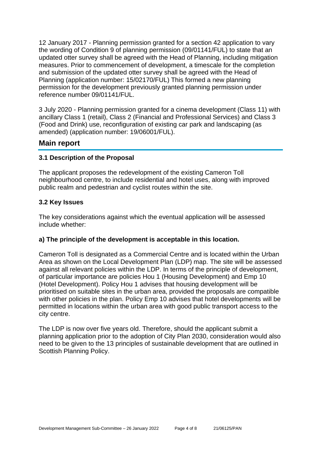12 January 2017 - Planning permission granted for a section 42 application to vary the wording of Condition 9 of planning permission (09/01141/FUL) to state that an updated otter survey shall be agreed with the Head of Planning, including mitigation measures. Prior to commencement of development, a timescale for the completion and submission of the updated otter survey shall be agreed with the Head of Planning (application number: 15/02170/FUL) This formed a new planning permission for the development previously granted planning permission under reference number 09/01141/FUL.

3 July 2020 - Planning permission granted for a cinema development (Class 11) with ancillary Class 1 (retail), Class 2 (Financial and Professional Services) and Class 3 (Food and Drink) use, reconfiguration of existing car park and landscaping (as amended) (application number: 19/06001/FUL).

# **Main report**

#### **3.1 Description of the Proposal**

The applicant proposes the redevelopment of the existing Cameron Toll neighbourhood centre, to include residential and hotel uses, along with improved public realm and pedestrian and cyclist routes within the site.

#### **3.2 Key Issues**

The key considerations against which the eventual application will be assessed include whether:

#### **a) The principle of the development is acceptable in this location.**

Cameron Toll is designated as a Commercial Centre and is located within the Urban Area as shown on the Local Development Plan (LDP) map. The site will be assessed against all relevant policies within the LDP. In terms of the principle of development, of particular importance are policies Hou 1 (Housing Development) and Emp 10 (Hotel Development). Policy Hou 1 advises that housing development will be prioritised on suitable sites in the urban area, provided the proposals are compatible with other policies in the plan. Policy Emp 10 advises that hotel developments will be permitted in locations within the urban area with good public transport access to the city centre.

The LDP is now over five years old. Therefore, should the applicant submit a planning application prior to the adoption of City Plan 2030, consideration would also need to be given to the 13 principles of sustainable development that are outlined in Scottish Planning Policy.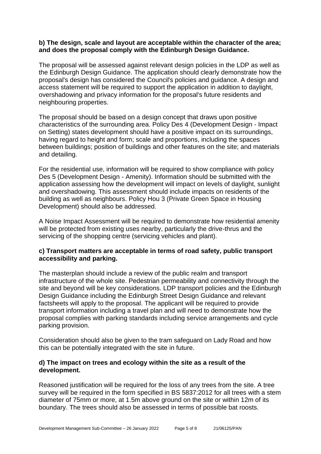#### **b) The design, scale and layout are acceptable within the character of the area; and does the proposal comply with the Edinburgh Design Guidance.**

The proposal will be assessed against relevant design policies in the LDP as well as the Edinburgh Design Guidance. The application should clearly demonstrate how the proposal's design has considered the Council's policies and guidance. A design and access statement will be required to support the application in addition to daylight, overshadowing and privacy information for the proposal's future residents and neighbouring properties.

The proposal should be based on a design concept that draws upon positive characteristics of the surrounding area. Policy Des 4 (Development Design - Impact on Setting) states development should have a positive impact on its surroundings, having regard to height and form; scale and proportions, including the spaces between buildings; position of buildings and other features on the site; and materials and detailing.

For the residential use, information will be required to show compliance with policy Des 5 (Development Design - Amenity). Information should be submitted with the application assessing how the development will impact on levels of daylight, sunlight and overshadowing. This assessment should include impacts on residents of the building as well as neighbours. Policy Hou 3 (Private Green Space in Housing Development) should also be addressed.

A Noise Impact Assessment will be required to demonstrate how residential amenity will be protected from existing uses nearby, particularly the drive-thrus and the servicing of the shopping centre (servicing vehicles and plant).

#### **c) Transport matters are acceptable in terms of road safety, public transport accessibility and parking.**

The masterplan should include a review of the public realm and transport infrastructure of the whole site. Pedestrian permeability and connectivity through the site and beyond will be key considerations. LDP transport policies and the Edinburgh Design Guidance including the Edinburgh Street Design Guidance and relevant factsheets will apply to the proposal. The applicant will be required to provide transport information including a travel plan and will need to demonstrate how the proposal complies with parking standards including service arrangements and cycle parking provision.

Consideration should also be given to the tram safeguard on Lady Road and how this can be potentially integrated with the site in future.

#### **d) The impact on trees and ecology within the site as a result of the development.**

Reasoned justification will be required for the loss of any trees from the site. A tree survey will be required in the form specified in BS 5837:2012 for all trees with a stem diameter of 75mm or more, at 1.5m above ground on the site or within 12m of its boundary. The trees should also be assessed in terms of possible bat roosts.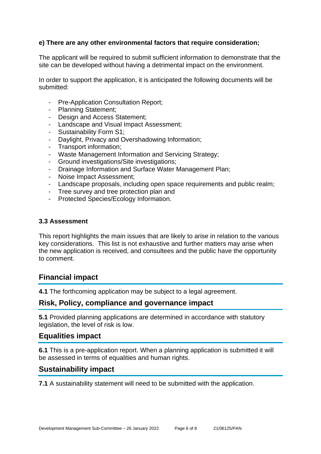#### **e) There are any other environmental factors that require consideration;**

The applicant will be required to submit sufficient information to demonstrate that the site can be developed without having a detrimental impact on the environment.

In order to support the application, it is anticipated the following documents will be submitted:

- Pre-Application Consultation Report;
- Planning Statement;
- Design and Access Statement;
- Landscape and Visual Impact Assessment;
- Sustainability Form S1;
- Daylight, Privacy and Overshadowing Information:
- Transport information;
- Waste Management Information and Servicing Strategy;
- Ground investigations/Site investigations;
- Drainage Information and Surface Water Management Plan;
- Noise Impact Assessment;
- Landscape proposals, including open space requirements and public realm;
- Tree survey and tree protection plan and
- Protected Species/Ecology Information.

#### **3.3 Assessment**

This report highlights the main issues that are likely to arise in relation to the various key considerations. This list is not exhaustive and further matters may arise when the new application is received, and consultees and the public have the opportunity to comment.

# **Financial impact**

**4.1** The forthcoming application may be subject to a legal agreement.

# **Risk, Policy, compliance and governance impact**

**5.1** Provided planning applications are determined in accordance with statutory legislation, the level of risk is low.

# **Equalities impact**

**6.1** This is a pre-application report. When a planning application is submitted it will be assessed in terms of equalities and human rights.

# **Sustainability impact**

**7.1** A sustainability statement will need to be submitted with the application.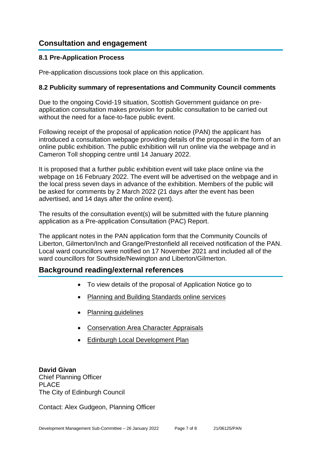# **Consultation and engagement**

#### **8.1 Pre-Application Process**

Pre-application discussions took place on this application.

#### **8.2 Publicity summary of representations and Community Council comments**

Due to the ongoing Covid-19 situation, Scottish Government guidance on preapplication consultation makes provision for public consultation to be carried out without the need for a face-to-face public event.

Following receipt of the proposal of application notice (PAN) the applicant has introduced a consultation webpage providing details of the proposal in the form of an online public exhibition. The public exhibition will run online via the webpage and in Cameron Toll shopping centre until 14 January 2022.

It is proposed that a further public exhibition event will take place online via the webpage on 16 February 2022. The event will be advertised on the webpage and in the local press seven days in advance of the exhibition. Members of the public will be asked for comments by 2 March 2022 (21 days after the event has been advertised, and 14 days after the online event).

The results of the consultation event(s) will be submitted with the future planning application as a Pre-application Consultation (PAC) Report.

The applicant notes in the PAN application form that the Community Councils of Liberton, Gilmerton/Inch and Grange/Prestonfield all received notification of the PAN. Local ward councillors were notified on 17 November 2021 and included all of the ward councillors for Southside/Newington and Liberton/Gilmerton.

# **Background reading/external references**

- To view details of the proposal of Application Notice go to
- [Planning and Building Standards online services](https://citydev-portal.edinburgh.gov.uk/idoxpa-web/search.do?action=simple&searchType=Application)
- [Planning guidelines](http://www.edinburgh.gov.uk/planningguidelines)
- [Conservation Area Character Appraisals](http://www.edinburgh.gov.uk/characterappraisals)
- [Edinburgh Local Development Plan](http://www.edinburgh.gov.uk/info/20164/proposed_local_development_plan/66/local_development_plan)

**David Givan** Chief Planning Officer PLACE The City of Edinburgh Council

Contact: Alex Gudgeon, Planning Officer